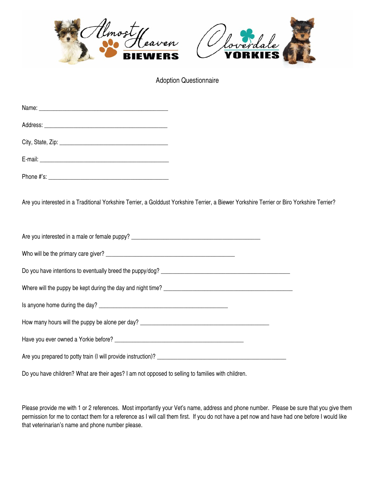



Adoption Questionnaire

| Are you interested in a Traditional Yorkshire Terrier, a Golddust Yorkshire Terrier, a Biewer Yorkshire Terrier or Biro Yorkshire Terrier? |  |
|--------------------------------------------------------------------------------------------------------------------------------------------|--|
|                                                                                                                                            |  |
|                                                                                                                                            |  |
|                                                                                                                                            |  |
|                                                                                                                                            |  |
|                                                                                                                                            |  |
|                                                                                                                                            |  |
|                                                                                                                                            |  |
|                                                                                                                                            |  |
| Do you have children? What are their ages? I am not opposed to selling to families with children.                                          |  |

Please provide me with 1 or 2 references. Most importantly your Vet's name, address and phone number. Please be sure that you give them permission for me to contact them for a reference as I will call them first. If you do not have a pet now and have had one before I would like that veterinarian's name and phone number please.